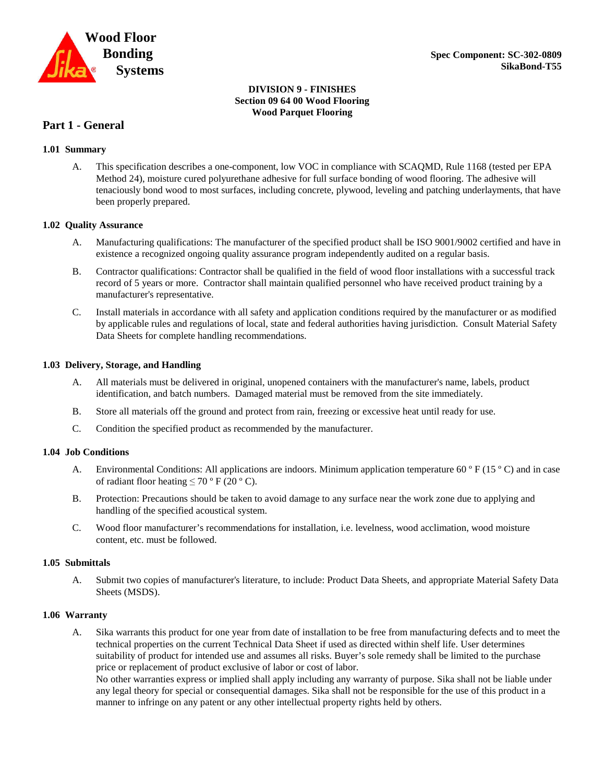

#### **DIVISION 9 - FINISHES Section 09 64 00 Wood Flooring Wood Parquet Flooring**

#### **Part 1 - General**

#### **1.01 Summary**

A. This specification describes a one-component, low VOC in compliance with SCAQMD, Rule 1168 (tested per EPA Method 24), moisture cured polyurethane adhesive for full surface bonding of wood flooring. The adhesive will tenaciously bond wood to most surfaces, including concrete, plywood, leveling and patching underlayments, that have been properly prepared.

#### **1.02 Quality Assurance**

- A. Manufacturing qualifications: The manufacturer of the specified product shall be ISO 9001/9002 certified and have in existence a recognized ongoing quality assurance program independently audited on a regular basis.
- B. Contractor qualifications: Contractor shall be qualified in the field of wood floor installations with a successful track record of 5 years or more. Contractor shall maintain qualified personnel who have received product training by a manufacturer's representative.
- C. Install materials in accordance with all safety and application conditions required by the manufacturer or as modified by applicable rules and regulations of local, state and federal authorities having jurisdiction. Consult Material Safety Data Sheets for complete handling recommendations.

#### **1.03 Delivery, Storage, and Handling**

- A. All materials must be delivered in original, unopened containers with the manufacturer's name, labels, product identification, and batch numbers. Damaged material must be removed from the site immediately.
- B. Store all materials off the ground and protect from rain, freezing or excessive heat until ready for use.
- C. Condition the specified product as recommended by the manufacturer.

#### **1.04 Job Conditions**

- A. Environmental Conditions: All applications are indoors. Minimum application temperature 60  $\degree$  F (15  $\degree$  C) and in case of radiant floor heating  $\leq 70$  ° F (20 ° C).
- B. Protection: Precautions should be taken to avoid damage to any surface near the work zone due to applying and handling of the specified acoustical system.
- C. Wood floor manufacturer's recommendations for installation, i.e. levelness, wood acclimation, wood moisture content, etc. must be followed.

#### **1.05 Submittals**

A. Submit two copies of manufacturer's literature, to include: Product Data Sheets, and appropriate Material Safety Data Sheets (MSDS).

#### **1.06 Warranty**

A. Sika warrants this product for one year from date of installation to be free from manufacturing defects and to meet the technical properties on the current Technical Data Sheet if used as directed within shelf life. User determines suitability of product for intended use and assumes all risks. Buyer's sole remedy shall be limited to the purchase price or replacement of product exclusive of labor or cost of labor.

No other warranties express or implied shall apply including any warranty of purpose. Sika shall not be liable under any legal theory for special or consequential damages. Sika shall not be responsible for the use of this product in a manner to infringe on any patent or any other intellectual property rights held by others.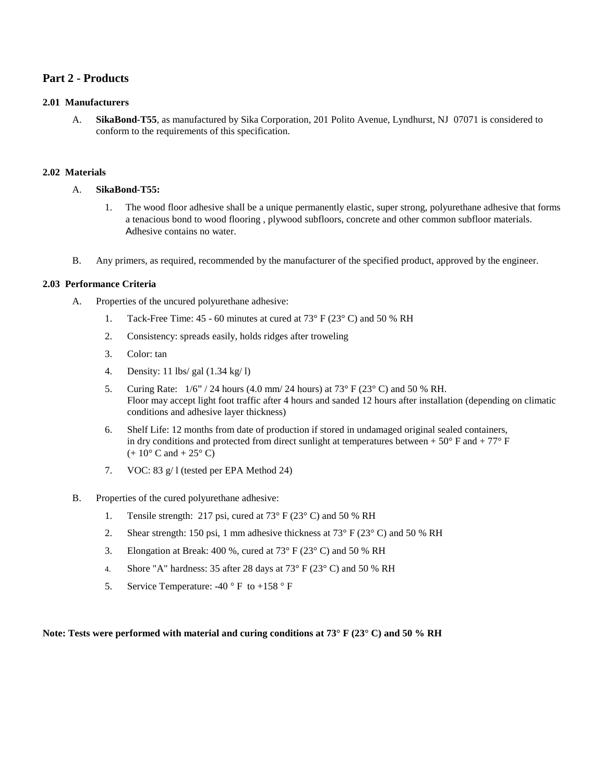#### **Part 2 - Products**

#### **2.01 Manufacturers**

A. **SikaBond-T55**, as manufactured by Sika Corporation, 201 Polito Avenue, Lyndhurst, NJ 07071 is considered to conform to the requirements of this specification.

#### **2.02 Materials**

#### A. **SikaBond-T55:**

- 1. The wood floor adhesive shall be a unique permanently elastic, super strong, polyurethane adhesive that forms a tenacious bond to wood flooring , plywood subfloors, concrete and other common subfloor materials. Adhesive contains no water.
- B. Any primers, as required, recommended by the manufacturer of the specified product, approved by the engineer.

#### **2.03 Performance Criteria**

- A. Properties of the uncured polyurethane adhesive:
	- 1. Tack-Free Time: 45 60 minutes at cured at 73° F (23° C) and 50 % RH
	- 2. Consistency: spreads easily, holds ridges after troweling
	- 3. Color: tan
	- 4. Density: 11 lbs/ gal (1.34 kg/ l)
	- 5. Curing Rate:  $1/6$ " / 24 hours (4.0 mm/ 24 hours) at 73° F (23° C) and 50 % RH. Floor may accept light foot traffic after 4 hours and sanded 12 hours after installation (depending on climatic conditions and adhesive layer thickness)
	- 6. Shelf Life: 12 months from date of production if stored in undamaged original sealed containers, in dry conditions and protected from direct sunlight at temperatures between  $+ 50^{\circ}$  F and  $+ 77^{\circ}$  F  $(+ 10^{\circ} \text{ C and } + 25^{\circ} \text{ C})$
	- 7. VOC: 83 g/ l (tested per EPA Method 24)
- B. Properties of the cured polyurethane adhesive:
	- 1. Tensile strength: 217 psi, cured at 73° F (23° C) and 50 % RH
	- 2. Shear strength: 150 psi, 1 mm adhesive thickness at  $73^{\circ}$  F (23° C) and 50 % RH
	- 3. Elongation at Break: 400 %, cured at  $73^{\circ}$  F ( $23^{\circ}$  C) and 50 % RH
	- 4. Shore "A" hardness: 35 after 28 days at  $73^{\circ}$  F (23° C) and 50 % RH
	- 5. Service Temperature: -40 ° F to +158 ° F

**Note: Tests were performed with material and curing conditions at 73° F (23° C) and 50 % RH**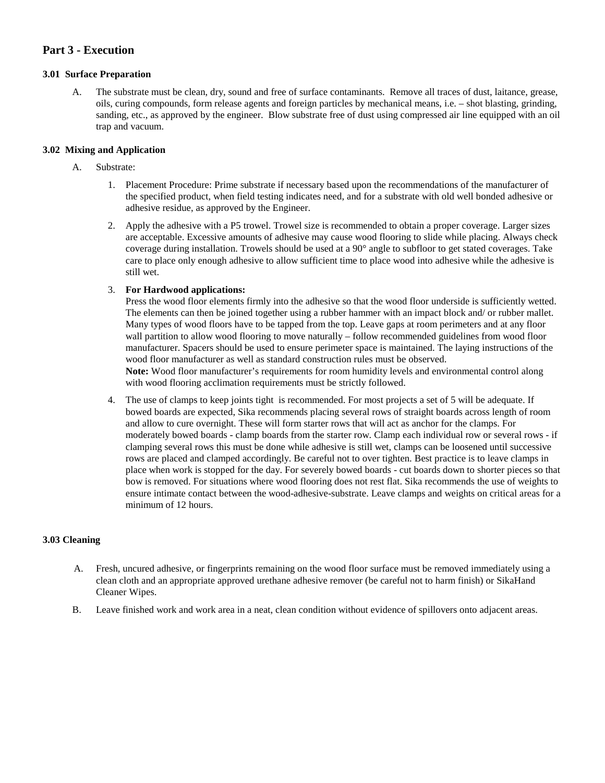#### **Part 3 - Execution**

#### **3.01 Surface Preparation**

A. The substrate must be clean, dry, sound and free of surface contaminants. Remove all traces of dust, laitance, grease, oils, curing compounds, form release agents and foreign particles by mechanical means, i.e. – shot blasting, grinding, sanding, etc., as approved by the engineer. Blow substrate free of dust using compressed air line equipped with an oil trap and vacuum.

#### **3.02 Mixing and Application**

#### A. Substrate:

- 1. Placement Procedure: Prime substrate if necessary based upon the recommendations of the manufacturer of the specified product, when field testing indicates need, and for a substrate with old well bonded adhesive or adhesive residue, as approved by the Engineer.
- 2. Apply the adhesive with a P5 trowel. Trowel size is recommended to obtain a proper coverage. Larger sizes are acceptable. Excessive amounts of adhesive may cause wood flooring to slide while placing. Always check coverage during installation. Trowels should be used at a 90° angle to subfloor to get stated coverages. Take care to place only enough adhesive to allow sufficient time to place wood into adhesive while the adhesive is still wet.

#### 3. **For Hardwood applications:**

Press the wood floor elements firmly into the adhesive so that the wood floor underside is sufficiently wetted. The elements can then be joined together using a rubber hammer with an impact block and/ or rubber mallet. Many types of wood floors have to be tapped from the top. Leave gaps at room perimeters and at any floor wall partition to allow wood flooring to move naturally – follow recommended guidelines from wood floor manufacturer. Spacers should be used to ensure perimeter space is maintained. The laying instructions of the wood floor manufacturer as well as standard construction rules must be observed. **Note:** Wood floor manufacturer's requirements for room humidity levels and environmental control along with wood flooring acclimation requirements must be strictly followed.

4. The use of clamps to keep joints tight is recommended. For most projects a set of 5 will be adequate. If bowed boards are expected, Sika recommends placing several rows of straight boards across length of room and allow to cure overnight. These will form starter rows that will act as anchor for the clamps. For moderately bowed boards - clamp boards from the starter row. Clamp each individual row or several rows - if clamping several rows this must be done while adhesive is still wet, clamps can be loosened until successive rows are placed and clamped accordingly. Be careful not to over tighten. Best practice is to leave clamps in place when work is stopped for the day. For severely bowed boards - cut boards down to shorter pieces so that bow is removed. For situations where wood flooring does not rest flat. Sika recommends the use of weights to ensure intimate contact between the wood-adhesive-substrate. Leave clamps and weights on critical areas for a minimum of 12 hours.

#### **3.03 Cleaning**

- A. Fresh, uncured adhesive, or fingerprints remaining on the wood floor surface must be removed immediately using a clean cloth and an appropriate approved urethane adhesive remover (be careful not to harm finish) or SikaHand Cleaner Wipes.
- B. Leave finished work and work area in a neat, clean condition without evidence of spillovers onto adjacent areas.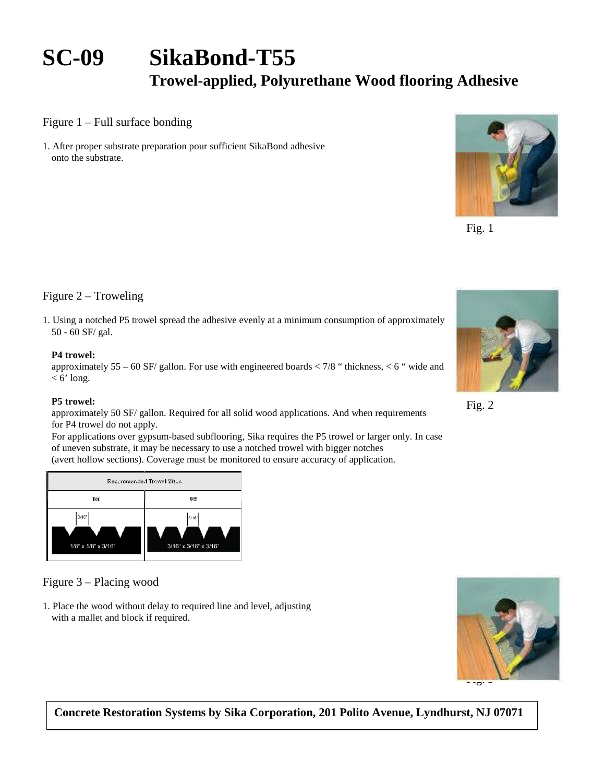# **SC-09 SikaBond-T55**

## **Trowel-applied, Polyurethane Wood flooring Adhesive**

Figure 1 – Full surface bonding

1. After proper substrate preparation pour sufficient SikaBond adhesive onto the substrate.



Fig. 1

#### Figure 2 – Troweling

1. Using a notched P5 trowel spread the adhesive evenly at a minimum consumption of approximately 50 - 60 SF/ gal.

#### **P4 trowel:**

approximately  $55 - 60$  SF/ gallon. For use with engineered boards  $< 7/8$  " thickness,  $< 6$  " wide and  $<$  6' long.

#### **P5 trowel:**

approximately 50 SF/ gallon. Required for all solid wood applications. And when requirements for P4 trowel do not apply.

For applications over gypsum-based subflooring, Sika requires the P5 trowel or larger only. In case of uneven substrate, it may be necessary to use a notched trowel with bigger notches (avert hollow sections). Coverage must be monitored to ensure accuracy of application.



### Figure 3 – Placing wood

1. Place the wood without delay to required line and level, adjusting with a mallet and block if required.



**Concrete Restoration Systems by Sika Corporation, 201 Polito Avenue, Lyndhurst, NJ 07071** 



Fig. 2